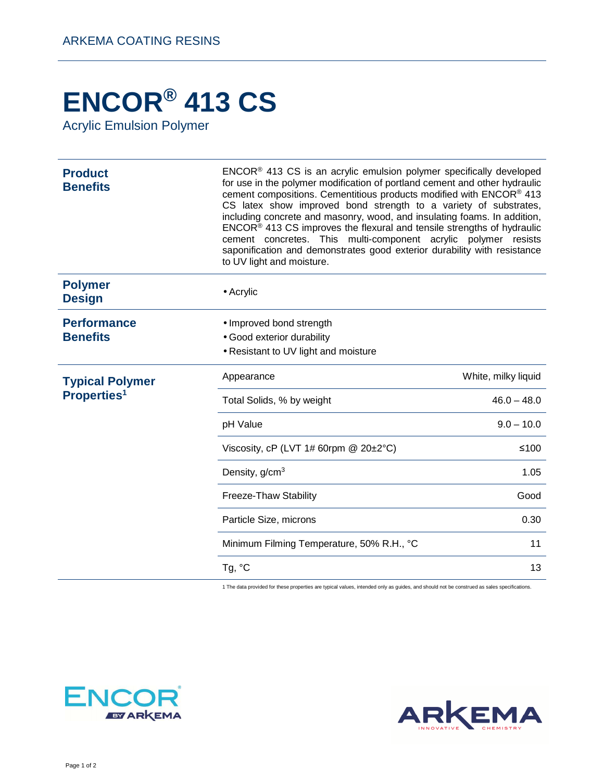## **ENCOR® 413 CS**

Acrylic Emulsion Polymer

| <b>Product</b><br><b>Benefits</b>                 | $ENCOR®$ 413 CS is an acrylic emulsion polymer specifically developed<br>for use in the polymer modification of portland cement and other hydraulic<br>cement compositions. Cementitious products modified with ENCOR® 413<br>CS latex show improved bond strength to a variety of substrates,<br>including concrete and masonry, wood, and insulating foams. In addition,<br>ENCOR® 413 CS improves the flexural and tensile strengths of hydraulic<br>cement concretes. This multi-component acrylic polymer resists<br>saponification and demonstrates good exterior durability with resistance<br>to UV light and moisture. |                     |
|---------------------------------------------------|---------------------------------------------------------------------------------------------------------------------------------------------------------------------------------------------------------------------------------------------------------------------------------------------------------------------------------------------------------------------------------------------------------------------------------------------------------------------------------------------------------------------------------------------------------------------------------------------------------------------------------|---------------------|
| <b>Polymer</b><br><b>Design</b>                   | $\bullet$ Acrylic                                                                                                                                                                                                                                                                                                                                                                                                                                                                                                                                                                                                               |                     |
| <b>Performance</b><br><b>Benefits</b>             | • Improved bond strength<br>• Good exterior durability<br>• Resistant to UV light and moisture                                                                                                                                                                                                                                                                                                                                                                                                                                                                                                                                  |                     |
| <b>Typical Polymer</b><br>Properties <sup>1</sup> | Appearance                                                                                                                                                                                                                                                                                                                                                                                                                                                                                                                                                                                                                      | White, milky liquid |
|                                                   | Total Solids, % by weight                                                                                                                                                                                                                                                                                                                                                                                                                                                                                                                                                                                                       | $46.0 - 48.0$       |
|                                                   | pH Value                                                                                                                                                                                                                                                                                                                                                                                                                                                                                                                                                                                                                        | $9.0 - 10.0$        |
|                                                   | Viscosity, cP (LVT 1# 60rpm $@$ 20 $\pm$ 2°C)                                                                                                                                                                                                                                                                                                                                                                                                                                                                                                                                                                                   | $≤100$              |
|                                                   | Density, g/cm <sup>3</sup>                                                                                                                                                                                                                                                                                                                                                                                                                                                                                                                                                                                                      | 1.05                |
|                                                   | Freeze-Thaw Stability                                                                                                                                                                                                                                                                                                                                                                                                                                                                                                                                                                                                           | Good                |
|                                                   | Particle Size, microns                                                                                                                                                                                                                                                                                                                                                                                                                                                                                                                                                                                                          | 0.30                |
|                                                   | Minimum Filming Temperature, 50% R.H., °C                                                                                                                                                                                                                                                                                                                                                                                                                                                                                                                                                                                       | 11                  |
|                                                   | Tg, °C                                                                                                                                                                                                                                                                                                                                                                                                                                                                                                                                                                                                                          | 13                  |

1 The data provided for these properties are typical values, intended only as guides, and should not be construed as sales specifications.